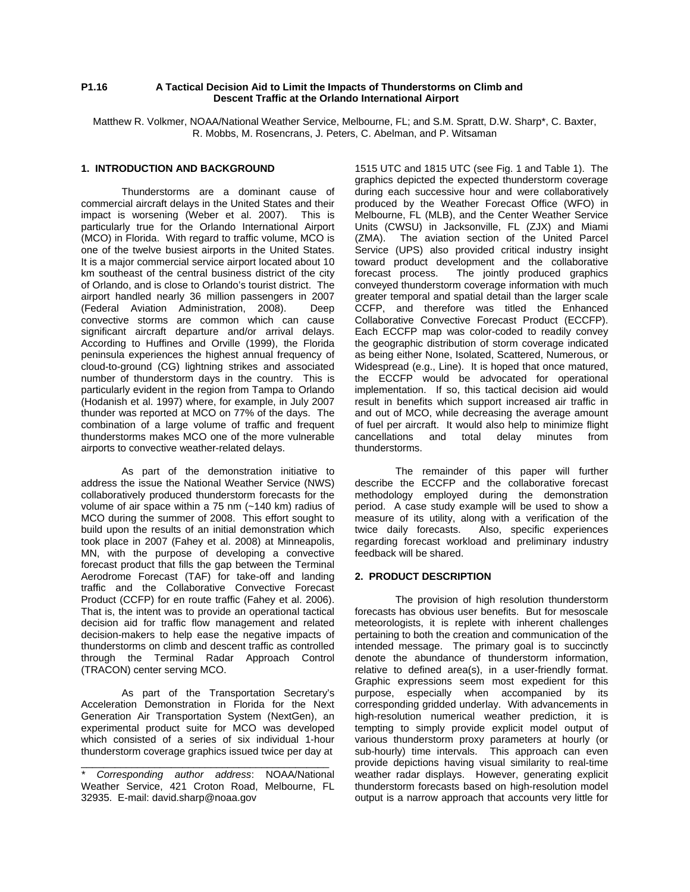## **P1.16 A Tactical Decision Aid to Limit the Impacts of Thunderstorms on Climb and Descent Traffic at the Orlando International Airport**

Matthew R. Volkmer, NOAA/National Weather Service, Melbourne, FL; and S.M. Spratt, D.W. Sharp\*, C. Baxter, R. Mobbs, M. Rosencrans, J. Peters, C. Abelman, and P. Witsaman

## **1. INTRODUCTION AND BACKGROUND**

Thunderstorms are a dominant cause of commercial aircraft delays in the United States and their<br>impact is worsening (Weber et al. 2007). This is impact is worsening (Weber et al. 2007). particularly true for the Orlando International Airport (MCO) in Florida. With regard to traffic volume, MCO is one of the twelve busiest airports in the United States. It is a major commercial service airport located about 10 km southeast of the central business district of the city of Orlando, and is close to Orlando's tourist district. The airport handled nearly 36 million passengers in 2007 (Federal Aviation Administration, 2008). Deep convective storms are common which can cause significant aircraft departure and/or arrival delays. According to Huffines and Orville (1999), the Florida peninsula experiences the highest annual frequency of cloud-to-ground (CG) lightning strikes and associated number of thunderstorm days in the country. This is particularly evident in the region from Tampa to Orlando (Hodanish et al. 1997) where, for example, in July 2007 thunder was reported at MCO on 77% of the days. The combination of a large volume of traffic and frequent thunderstorms makes MCO one of the more vulnerable airports to convective weather-related delays.

As part of the demonstration initiative to address the issue the National Weather Service (NWS) collaboratively produced thunderstorm forecasts for the volume of air space within a 75 nm (~140 km) radius of MCO during the summer of 2008. This effort sought to build upon the results of an initial demonstration which took place in 2007 (Fahey et al. 2008) at Minneapolis, MN, with the purpose of developing a convective forecast product that fills the gap between the Terminal Aerodrome Forecast (TAF) for take-off and landing traffic and the Collaborative Convective Forecast Product (CCFP) for en route traffic (Fahey et al. 2006). That is, the intent was to provide an operational tactical decision aid for traffic flow management and related decision-makers to help ease the negative impacts of thunderstorms on climb and descent traffic as controlled through the Terminal Radar Approach Control (TRACON) center serving MCO.

As part of the Transportation Secretary's Acceleration Demonstration in Florida for the Next Generation Air Transportation System (NextGen), an experimental product suite for MCO was developed which consisted of a series of six individual 1-hour thunderstorm coverage graphics issued twice per day at

\_\_\_\_\_\_\_\_\_\_\_\_\_\_\_\_\_\_\_\_\_\_\_\_\_\_\_\_\_\_\_\_\_\_\_\_\_\_\_\_\_\_\_\_

1515 UTC and 1815 UTC (see Fig. 1 and Table 1). The graphics depicted the expected thunderstorm coverage during each successive hour and were collaboratively produced by the Weather Forecast Office (WFO) in Melbourne, FL (MLB), and the Center Weather Service Units (CWSU) in Jacksonville, FL (ZJX) and Miami (ZMA). The aviation section of the United Parcel Service (UPS) also provided critical industry insight toward product development and the collaborative forecast process. The jointly produced graphics conveyed thunderstorm coverage information with much greater temporal and spatial detail than the larger scale CCFP, and therefore was titled the Enhanced Collaborative Convective Forecast Product (ECCFP). Each ECCFP map was color-coded to readily convey the geographic distribution of storm coverage indicated as being either None, Isolated, Scattered, Numerous, or Widespread (e.g., Line). It is hoped that once matured, the ECCFP would be advocated for operational implementation. If so, this tactical decision aid would result in benefits which support increased air traffic in and out of MCO, while decreasing the average amount of fuel per aircraft. It would also help to minimize flight cancellations and total delay minutes from thunderstorms.

The remainder of this paper will further describe the ECCFP and the collaborative forecast methodology employed during the demonstration period. A case study example will be used to show a measure of its utility, along with a verification of the twice daily forecasts. Also, specific experiences regarding forecast workload and preliminary industry feedback will be shared.

# **2. PRODUCT DESCRIPTION**

The provision of high resolution thunderstorm forecasts has obvious user benefits. But for mesoscale meteorologists, it is replete with inherent challenges pertaining to both the creation and communication of the intended message. The primary goal is to succinctly denote the abundance of thunderstorm information, relative to defined area(s), in a user-friendly format. Graphic expressions seem most expedient for this purpose, especially when accompanied by its corresponding gridded underlay. With advancements in high-resolution numerical weather prediction, it is tempting to simply provide explicit model output of various thunderstorm proxy parameters at hourly (or sub-hourly) time intervals. This approach can even provide depictions having visual similarity to real-time weather radar displays. However, generating explicit thunderstorm forecasts based on high-resolution model output is a narrow approach that accounts very little for

*<sup>\*</sup> Corresponding author address*: NOAA/National Weather Service, 421 Croton Road, Melbourne, FL 32935. E-mail: david.sharp@noaa.gov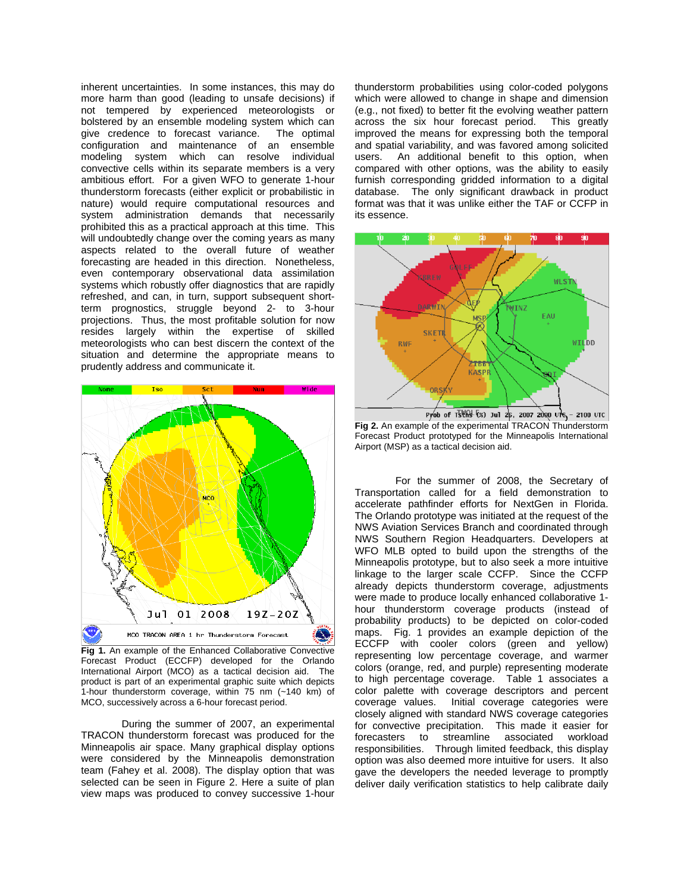inherent uncertainties. In some instances, this may do more harm than good (leading to unsafe decisions) if not tempered by experienced meteorologists or bolstered by an ensemble modeling system which can give credence to forecast variance. The optimal configuration and maintenance of an ensemble modeling system which can resolve individual convective cells within its separate members is a very ambitious effort. For a given WFO to generate 1-hour thunderstorm forecasts (either explicit or probabilistic in nature) would require computational resources and system administration demands that necessarily prohibited this as a practical approach at this time. This will undoubtedly change over the coming years as many aspects related to the overall future of weather forecasting are headed in this direction. Nonetheless, even contemporary observational data assimilation systems which robustly offer diagnostics that are rapidly refreshed, and can, in turn, support subsequent shortterm prognostics, struggle beyond 2- to 3-hour projections. Thus, the most profitable solution for now resides largely within the expertise of skilled meteorologists who can best discern the context of the situation and determine the appropriate means to prudently address and communicate it.



**Fig 1.** An example of the Enhanced Collaborative Convective Forecast Product (ECCFP) developed for the Orlando International Airport (MCO) as a tactical decision aid. The product is part of an experimental graphic suite which depicts 1-hour thunderstorm coverage, within 75 nm (~140 km) of MCO, successively across a 6-hour forecast period.

During the summer of 2007, an experimental TRACON thunderstorm forecast was produced for the Minneapolis air space. Many graphical display options were considered by the Minneapolis demonstration team (Fahey et al. 2008). The display option that was selected can be seen in Figure 2. Here a suite of plan view maps was produced to convey successive 1-hour

thunderstorm probabilities using color-coded polygons which were allowed to change in shape and dimension (e.g., not fixed) to better fit the evolving weather pattern across the six hour forecast period. This greatly improved the means for expressing both the temporal and spatial variability, and was favored among solicited users. An additional benefit to this option, when compared with other options, was the ability to easily furnish corresponding gridded information to a digital database. The only significant drawback in product format was that it was unlike either the TAF or CCFP in its essence.



**Fig 2.** An example of the experimental TRACON Thunderstorm Forecast Product prototyped for the Minneapolis International Airport (MSP) as a tactical decision aid.

For the summer of 2008, the Secretary of Transportation called for a field demonstration to accelerate pathfinder efforts for NextGen in Florida. The Orlando prototype was initiated at the request of the NWS Aviation Services Branch and coordinated through NWS Southern Region Headquarters. Developers at WFO MLB opted to build upon the strengths of the Minneapolis prototype, but to also seek a more intuitive linkage to the larger scale CCFP. Since the CCFP already depicts thunderstorm coverage, adjustments were made to produce locally enhanced collaborative 1 hour thunderstorm coverage products (instead of probability products) to be depicted on color-coded maps. Fig. 1 provides an example depiction of the ECCFP with cooler colors (green and yellow) representing low percentage coverage, and warmer colors (orange, red, and purple) representing moderate to high percentage coverage. Table 1 associates a color palette with coverage descriptors and percent coverage values. Initial coverage categories were closely aligned with standard NWS coverage categories for convective precipitation. This made it easier for forecasters to streamline associated workload responsibilities. Through limited feedback, this display option was also deemed more intuitive for users. It also gave the developers the needed leverage to promptly deliver daily verification statistics to help calibrate daily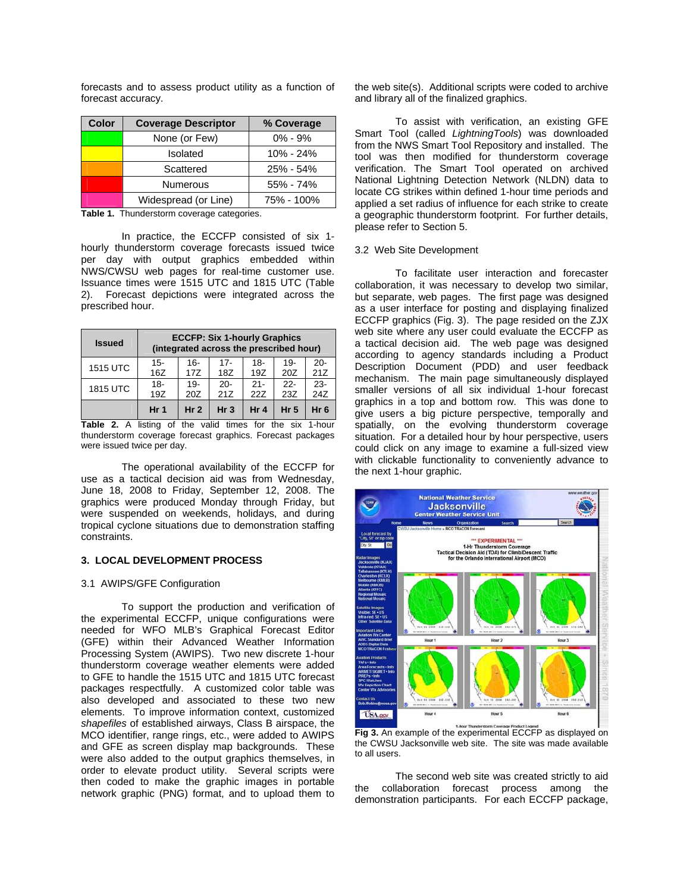| Color | <b>Coverage Descriptor</b> | % Coverage    |  |  |
|-------|----------------------------|---------------|--|--|
|       | None (or Few)              | $0\% - 9\%$   |  |  |
|       | Isolated                   | $10\% - 24\%$ |  |  |
|       | Scattered                  | 25% - 54%     |  |  |
|       | <b>Numerous</b>            | 55% - 74%     |  |  |
|       | Widespread (or Line)       | 75% - 100%    |  |  |

forecasts and to assess product utility as a function of forecast accuracy.

**Table 1.** Thunderstorm coverage categories.

 In practice, the ECCFP consisted of six 1 hourly thunderstorm coverage forecasts issued twice per day with output graphics embedded within NWS/CWSU web pages for real-time customer use. Issuance times were 1515 UTC and 1815 UTC (Table 2). Forecast depictions were integrated across the prescribed hour.

| <b>Issued</b>   | <b>ECCFP: Six 1-hourly Graphics</b><br>(integrated across the prescribed hour) |                 |                 |                 |                 |                 |  |
|-----------------|--------------------------------------------------------------------------------|-----------------|-----------------|-----------------|-----------------|-----------------|--|
| <b>1515 UTC</b> | $15 -$                                                                         | $16-$           | $17 -$          | 18-             | $19 -$          | -20             |  |
|                 | 16Z                                                                            | 17Z             | 18Z             | 19Z             | 20Z             | 21Z             |  |
| <b>1815 UTC</b> | $18 -$                                                                         | $19 -$          | $20 -$          | $21 -$          | $22 -$          | $23 -$          |  |
|                 | 19Z                                                                            | 20Z             | 21Z             | 22Z             | 23Z             | 24Z             |  |
|                 | Hr <sub>1</sub>                                                                | Hr <sub>2</sub> | Hr <sub>3</sub> | Hr <sub>4</sub> | Hr <sub>5</sub> | Hr <sub>6</sub> |  |

**Table 2.** A listing of the valid times for the six 1-hour thunderstorm coverage forecast graphics. Forecast packages were issued twice per day.

The operational availability of the ECCFP for use as a tactical decision aid was from Wednesday, June 18, 2008 to Friday, September 12, 2008. The graphics were produced Monday through Friday, but were suspended on weekends, holidays, and during tropical cyclone situations due to demonstration staffing constraints.

## **3. LOCAL DEVELOPMENT PROCESS**

### 3.1 AWIPS/GFE Configuration

To support the production and verification of the experimental ECCFP, unique configurations were needed for WFO MLB's Graphical Forecast Editor (GFE) within their Advanced Weather Information Processing System (AWIPS). Two new discrete 1-hour thunderstorm coverage weather elements were added to GFE to handle the 1515 UTC and 1815 UTC forecast packages respectfully. A customized color table was also developed and associated to these two new elements. To improve information context, customized *shapefiles* of established airways, Class B airspace, the MCO identifier, range rings, etc., were added to AWIPS and GFE as screen display map backgrounds. These were also added to the output graphics themselves, in order to elevate product utility. Several scripts were then coded to make the graphic images in portable network graphic (PNG) format, and to upload them to the web site(s). Additional scripts were coded to archive and library all of the finalized graphics.

To assist with verification, an existing GFE Smart Tool (called *LightningTools*) was downloaded from the NWS Smart Tool Repository and installed. The tool was then modified for thunderstorm coverage verification. The Smart Tool operated on archived National Lightning Detection Network (NLDN) data to locate CG strikes within defined 1-hour time periods and applied a set radius of influence for each strike to create a geographic thunderstorm footprint. For further details, please refer to Section 5.

#### 3.2 Web Site Development

 To facilitate user interaction and forecaster collaboration, it was necessary to develop two similar, but separate, web pages. The first page was designed as a user interface for posting and displaying finalized ECCFP graphics (Fig. 3). The page resided on the ZJX web site where any user could evaluate the ECCFP as a tactical decision aid. The web page was designed according to agency standards including a Product Description Document (PDD) and user feedback mechanism. The main page simultaneously displayed smaller versions of all six individual 1-hour forecast graphics in a top and bottom row. This was done to give users a big picture perspective, temporally and spatially, on the evolving thunderstorm coverage situation. For a detailed hour by hour perspective, users could click on any image to examine a full-sized view with clickable functionality to conveniently advance to the next 1-hour graphic.



**Fig 3.** An example of the experimental ECCFP as displayed on the CWSU Jacksonville web site. The site was made available to all users.

The second web site was created strictly to aid the collaboration forecast process among the demonstration participants. For each ECCFP package,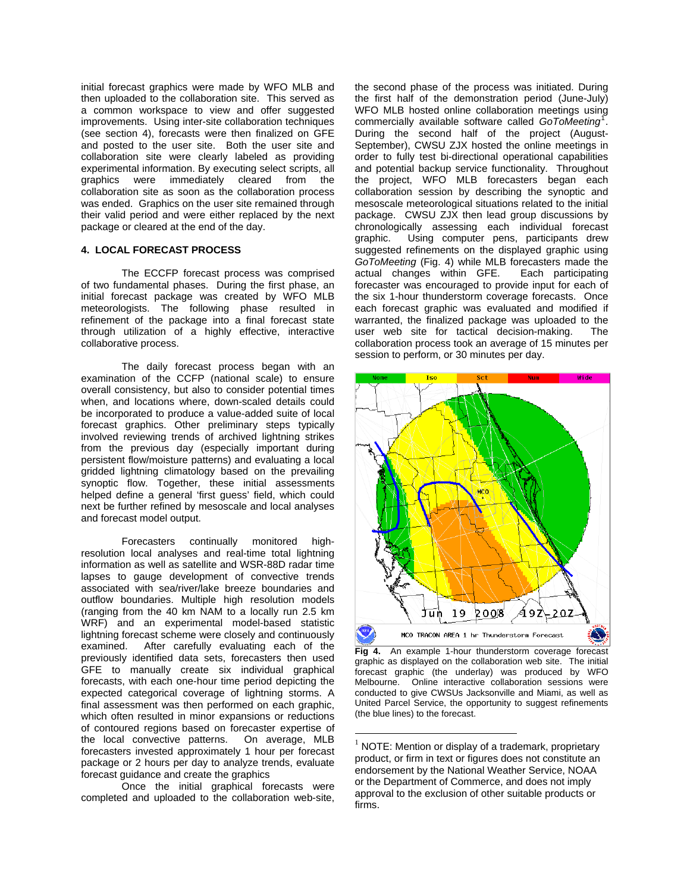initial forecast graphics were made by WFO MLB and then uploaded to the collaboration site. This served as a common workspace to view and offer suggested improvements. Using inter-site collaboration techniques (see section 4), forecasts were then finalized on GFE and posted to the user site. Both the user site and collaboration site were clearly labeled as providing experimental information. By executing select scripts, all graphics were immediately cleared from the collaboration site as soon as the collaboration process was ended. Graphics on the user site remained through their valid period and were either replaced by the next package or cleared at the end of the day.

## **4. LOCAL FORECAST PROCESS**

 The ECCFP forecast process was comprised of two fundamental phases. During the first phase, an initial forecast package was created by WFO MLB meteorologists. The following phase resulted in refinement of the package into a final forecast state through utilization of a highly effective, interactive collaborative process.

The daily forecast process began with an examination of the CCFP (national scale) to ensure overall consistency, but also to consider potential times when, and locations where, down-scaled details could be incorporated to produce a value-added suite of local forecast graphics. Other preliminary steps typically involved reviewing trends of archived lightning strikes from the previous day (especially important during persistent flow/moisture patterns) and evaluating a local gridded lightning climatology based on the prevailing synoptic flow. Together, these initial assessments helped define a general 'first guess' field, which could next be further refined by mesoscale and local analyses and forecast model output.

Forecasters continually monitored highresolution local analyses and real-time total lightning information as well as satellite and WSR-88D radar time lapses to gauge development of convective trends associated with sea/river/lake breeze boundaries and outflow boundaries. Multiple high resolution models (ranging from the 40 km NAM to a locally run 2.5 km WRF) and an experimental model-based statistic lightning forecast scheme were closely and continuously examined. After carefully evaluating each of the previously identified data sets, forecasters then used GFE to manually create six individual graphical forecasts, with each one-hour time period depicting the expected categorical coverage of lightning storms. A final assessment was then performed on each graphic, which often resulted in minor expansions or reductions of contoured regions based on forecaster expertise of the local convective patterns. On average, MLB forecasters invested approximately 1 hour per forecast package or 2 hours per day to analyze trends, evaluate forecast guidance and create the graphics

<span id="page-3-0"></span> Once the initial graphical forecasts were completed and uploaded to the collaboration web-site,

the second phase of the process was initiated. During the first half of the demonstration period (June-July) WFO MLB hosted online collaboration meetings using commercially available software called *GoToMeeting*[1](#page-3-0) . During the second half of the project (August-September), CWSU ZJX hosted the online meetings in order to fully test bi-directional operational capabilities and potential backup service functionality. Throughout the project, WFO MLB forecasters began each collaboration session by describing the synoptic and mesoscale meteorological situations related to the initial package. CWSU ZJX then lead group discussions by chronologically assessing each individual forecast graphic. Using computer pens, participants drew suggested refinements on the displayed graphic using *GoToMeeting* (Fig. 4) while MLB forecasters made the actual changes within GFE. Each participating forecaster was encouraged to provide input for each of the six 1-hour thunderstorm coverage forecasts. Once each forecast graphic was evaluated and modified if warranted, the finalized package was uploaded to the user web site for tactical decision-making. The collaboration process took an average of 15 minutes per session to perform, or 30 minutes per day.



**Fig 4.** An example 1-hour thunderstorm coverage forecast graphic as displayed on the collaboration web site. The initial forecast graphic (the underlay) was produced by WFO Melbourne. Online interactive collaboration sessions were conducted to give CWSUs Jacksonville and Miami, as well as United Parcel Service, the opportunity to suggest refinements (the blue lines) to the forecast.

 $\overline{a}$ 

 $1$  NOTE: Mention or display of a trademark, proprietary product, or firm in text or figures does not constitute an endorsement by the National Weather Service, NOAA or the Department of Commerce, and does not imply approval to the exclusion of other suitable products or firms.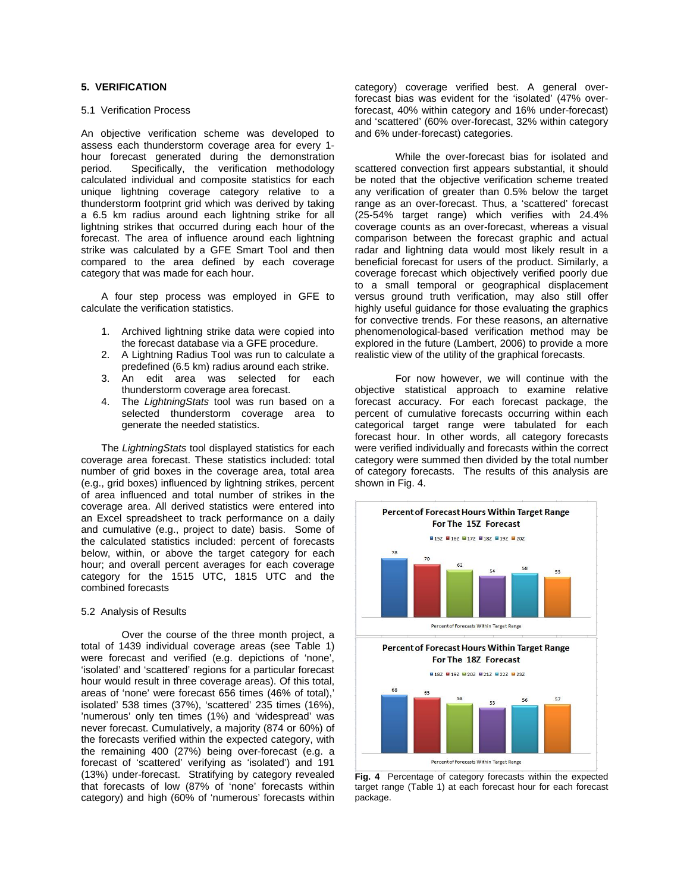# **5. VERIFICATION**

#### 5.1 Verification Process

An objective verification scheme was developed to assess each thunderstorm coverage area for every 1 hour forecast generated during the demonstration period. Specifically, the verification methodology calculated individual and composite statistics for each unique lightning coverage category relative to a thunderstorm footprint grid which was derived by taking a 6.5 km radius around each lightning strike for all lightning strikes that occurred during each hour of the forecast. The area of influence around each lightning strike was calculated by a GFE Smart Tool and then compared to the area defined by each coverage category that was made for each hour.

A four step process was employed in GFE to calculate the verification statistics.

- 1. Archived lightning strike data were copied into the forecast database via a GFE procedure.
- 2. A Lightning Radius Tool was run to calculate a predefined (6.5 km) radius around each strike.
- 3. An edit area was selected for each thunderstorm coverage area forecast.
- 4. The *LightningStats* tool was run based on a selected thunderstorm coverage area to generate the needed statistics.

The *LightningStats* tool displayed statistics for each coverage area forecast. These statistics included: total number of grid boxes in the coverage area, total area (e.g., grid boxes) influenced by lightning strikes, percent of area influenced and total number of strikes in the coverage area. All derived statistics were entered into an Excel spreadsheet to track performance on a daily and cumulative (e.g., project to date) basis. Some of the calculated statistics included: percent of forecasts below, within, or above the target category for each hour; and overall percent averages for each coverage category for the 1515 UTC, 1815 UTC and the combined forecasts

### 5.2 Analysis of Results

Over the course of the three month project, a total of 1439 individual coverage areas (see Table 1) were forecast and verified (e.g. depictions of 'none', 'isolated' and 'scattered' regions for a particular forecast hour would result in three coverage areas). Of this total, areas of 'none' were forecast 656 times (46% of total),' isolated' 538 times (37%), 'scattered' 235 times (16%), 'numerous' only ten times (1%) and 'widespread' was never forecast. Cumulatively, a majority (874 or 60%) of the forecasts verified within the expected category, with the remaining 400 (27%) being over-forecast (e.g. a forecast of 'scattered' verifying as 'isolated') and 191 (13%) under-forecast. Stratifying by category revealed that forecasts of low (87% of 'none' forecasts within category) and high (60% of 'numerous' forecasts within

category) coverage verified best. A general overforecast bias was evident for the 'isolated' (47% overforecast, 40% within category and 16% under-forecast) and 'scattered' (60% over-forecast, 32% within category and 6% under-forecast) categories.

While the over-forecast bias for isolated and scattered convection first appears substantial, it should be noted that the objective verification scheme treated any verification of greater than 0.5% below the target range as an over-forecast. Thus, a 'scattered' forecast (25-54% target range) which verifies with 24.4% coverage counts as an over-forecast, whereas a visual comparison between the forecast graphic and actual radar and lightning data would most likely result in a beneficial forecast for users of the product. Similarly, a coverage forecast which objectively verified poorly due to a small temporal or geographical displacement versus ground truth verification, may also still offer highly useful guidance for those evaluating the graphics for convective trends. For these reasons, an alternative phenomenological-based verification method may be explored in the future (Lambert, 2006) to provide a more realistic view of the utility of the graphical forecasts.

For now however, we will continue with the objective statistical approach to examine relative forecast accuracy. For each forecast package, the percent of cumulative forecasts occurring within each categorical target range were tabulated for each forecast hour. In other words, all category forecasts were verified individually and forecasts within the correct category were summed then divided by the total number of category forecasts. The results of this analysis are shown in Fig. 4.



**Fig. 4** Percentage of category forecasts within the expected target range (Table 1) at each forecast hour for each forecast package.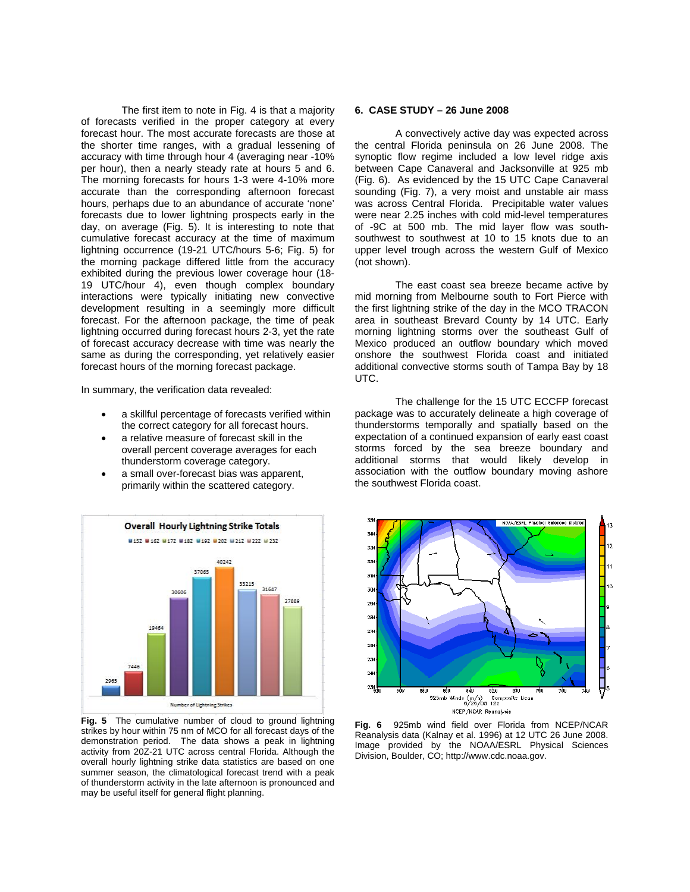The first item to note in Fig. 4 is that a majority of forecasts verified in the proper category at every forecast hour. The most accurate forecasts are those at the shorter time ranges, with a gradual lessening of accuracy with time through hour 4 (averaging near -10% per hour), then a nearly steady rate at hours 5 and 6. The morning forecasts for hours 1-3 were 4-10% more accurate than the corresponding afternoon forecast hours, perhaps due to an abundance of accurate 'none' forecasts due to lower lightning prospects early in the day, on average (Fig. 5). It is interesting to note that cumulative forecast accuracy at the time of maximum lightning occurrence (19-21 UTC/hours 5-6; Fig. 5) for the morning package differed little from the accuracy exhibited during the previous lower coverage hour (18- 19 UTC/hour 4), even though complex boundary interactions were typically initiating new convective development resulting in a seemingly more difficult forecast. For the afternoon package, the time of peak lightning occurred during forecast hours 2-3, yet the rate of forecast accuracy decrease with time was nearly the same as during the corresponding, yet relatively easier forecast hours of the morning forecast package.

In summary, the verification data revealed:

- a skillful percentage of forecasts verified within the correct category for all forecast hours.
- a relative measure of forecast skill in the overall percent coverage averages for each thunderstorm coverage category.
- a small over-forecast bias was apparent. primarily within the scattered category.



**Fig. 5** The cumulative number of cloud to ground lightning strikes by hour within 75 nm of MCO for all forecast days of the demonstration period. The data shows a peak in lightning activity from 20Z-21 UTC across central Florida. Although the overall hourly lightning strike data statistics are based on one summer season, the climatological forecast trend with a peak of thunderstorm activity in the late afternoon is pronounced and may be useful itself for general flight planning.

## **6. CASE STUDY – 26 June 2008**

A convectively active day was expected across the central Florida peninsula on 26 June 2008. The synoptic flow regime included a low level ridge axis between Cape Canaveral and Jacksonville at 925 mb (Fig. 6). As evidenced by the 15 UTC Cape Canaveral sounding (Fig. 7), a very moist and unstable air mass was across Central Florida. Precipitable water values were near 2.25 inches with cold mid-level temperatures of -9C at 500 mb. The mid layer flow was southsouthwest to southwest at 10 to 15 knots due to an upper level trough across the western Gulf of Mexico (not shown).

The east coast sea breeze became active by mid morning from Melbourne south to Fort Pierce with the first lightning strike of the day in the MCO TRACON area in southeast Brevard County by 14 UTC. Early morning lightning storms over the southeast Gulf of Mexico produced an outflow boundary which moved onshore the southwest Florida coast and initiated additional convective storms south of Tampa Bay by 18 UTC.

The challenge for the 15 UTC ECCFP forecast package was to accurately delineate a high coverage of thunderstorms temporally and spatially based on the expectation of a continued expansion of early east coast storms forced by the sea breeze boundary and additional storms that would likely develop in association with the outflow boundary moving ashore the southwest Florida coast.



**Fig. 6** 925mb wind field over Florida from NCEP/NCAR Reanalysis data (Kalnay et al. 1996) at 12 UTC 26 June 2008. Image provided by the NOAA/ESRL Physical Sciences Division, Boulder, CO; http://www.cdc.noaa.gov.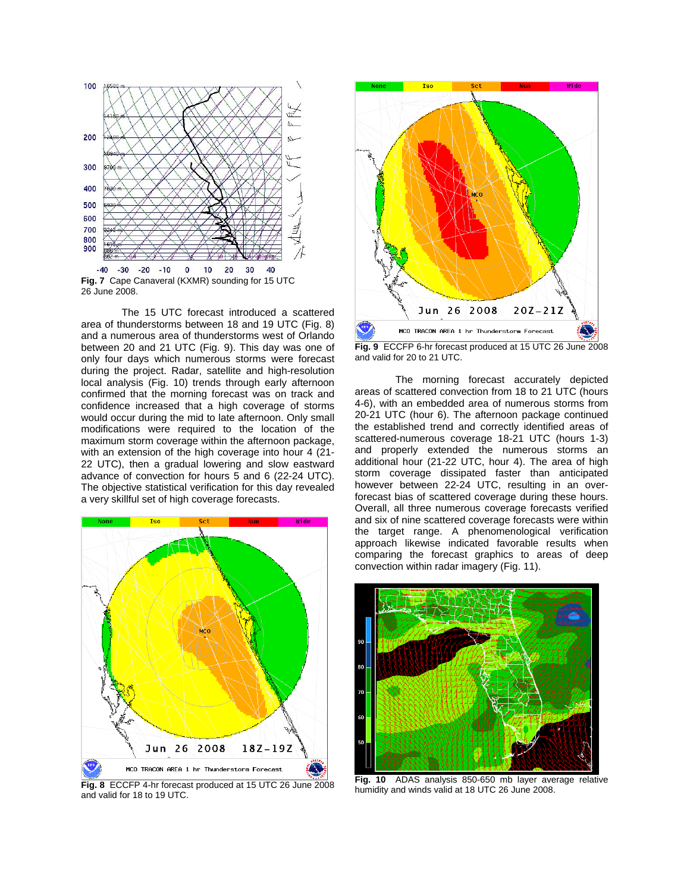

The 15 UTC forecast introduced a scattered area of thunderstorms between 18 and 19 UTC (Fig. 8) and a numerous area of thunderstorms west of Orlando between 20 and 21 UTC (Fig. 9). This day was one of only four days which numerous storms were forecast during the project. Radar, satellite and high-resolution local analysis (Fig. 10) trends through early afternoon confirmed that the morning forecast was on track and confidence increased that a high coverage of storms would occur during the mid to late afternoon. Only small modifications were required to the location of the maximum storm coverage within the afternoon package, with an extension of the high coverage into hour 4 (21- 22 UTC), then a gradual lowering and slow eastward advance of convection for hours 5 and 6 (22-24 UTC). The objective statistical verification for this day revealed a very skillful set of high coverage forecasts.



and valid for 18 to 19 UTC.



**Fig. 9** ECCFP 6-hr forecast produced at 15 UTC 26 June 2008 and valid for 20 to 21 UTC.

The morning forecast accurately depicted areas of scattered convection from 18 to 21 UTC (hours 4-6), with an embedded area of numerous storms from 20-21 UTC (hour 6). The afternoon package continued the established trend and correctly identified areas of scattered-numerous coverage 18-21 UTC (hours 1-3) and properly extended the numerous storms an additional hour (21-22 UTC, hour 4). The area of high storm coverage dissipated faster than anticipated however between 22-24 UTC, resulting in an overforecast bias of scattered coverage during these hours. Overall, all three numerous coverage forecasts verified and six of nine scattered coverage forecasts were within the target range. A phenomenological verification approach likewise indicated favorable results when comparing the forecast graphics to areas of deep convection within radar imagery (Fig. 11).



**Fig. 10** ADAS analysis 850-650 mb layer average relative humidity and winds valid at 18 UTC 26 June 2008.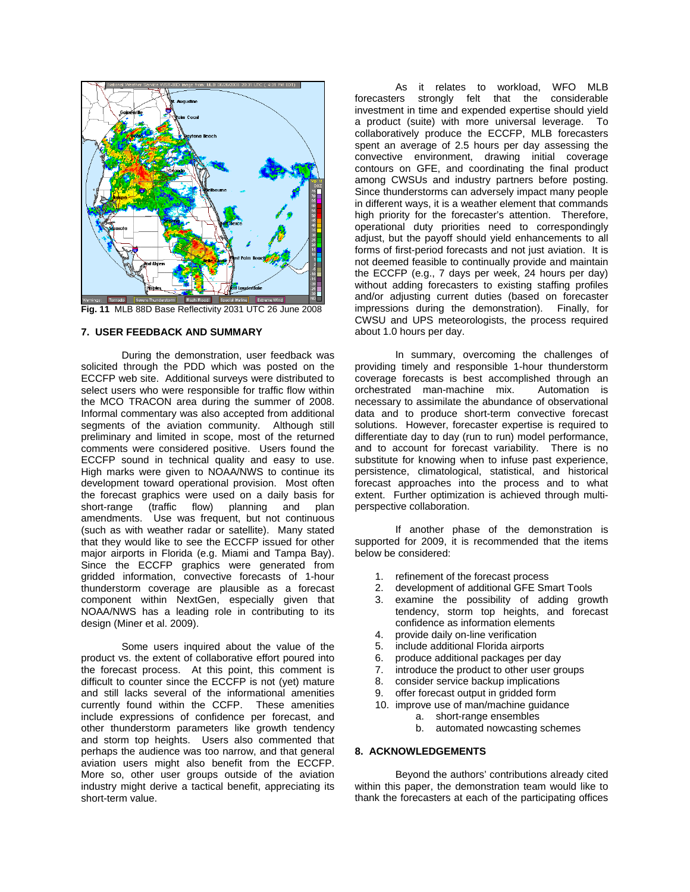

**Fig. 11** MLB 88D Base Reflectivity 2031 UTC 26 June 2008

## **7. USER FEEDBACK AND SUMMARY**

 During the demonstration, user feedback was solicited through the PDD which was posted on the ECCFP web site. Additional surveys were distributed to select users who were responsible for traffic flow within the MCO TRACON area during the summer of 2008. Informal commentary was also accepted from additional segments of the aviation community. Although still preliminary and limited in scope, most of the returned comments were considered positive. Users found the ECCFP sound in technical quality and easy to use. High marks were given to NOAA/NWS to continue its development toward operational provision. Most often the forecast graphics were used on a daily basis for short-range (traffic flow) planning and plan short-range (traffic flow) planning and plan amendments. Use was frequent, but not continuous (such as with weather radar or satellite). Many stated that they would like to see the ECCFP issued for other major airports in Florida (e.g. Miami and Tampa Bay). Since the ECCFP graphics were generated from gridded information, convective forecasts of 1-hour thunderstorm coverage are plausible as a forecast component within NextGen, especially given that NOAA/NWS has a leading role in contributing to its design (Miner et al. 2009).

Some users inquired about the value of the product vs. the extent of collaborative effort poured into the forecast process. At this point, this comment is difficult to counter since the ECCFP is not (yet) mature and still lacks several of the informational amenities currently found within the CCFP. These amenities include expressions of confidence per forecast, and other thunderstorm parameters like growth tendency and storm top heights. Users also commented that perhaps the audience was too narrow, and that general aviation users might also benefit from the ECCFP. More so, other user groups outside of the aviation industry might derive a tactical benefit, appreciating its short-term value.

As it relates to workload, WFO MLB forecasters strongly felt that the considerable investment in time and expended expertise should yield a product (suite) with more universal leverage. To collaboratively produce the ECCFP, MLB forecasters spent an average of 2.5 hours per day assessing the convective environment, drawing initial coverage contours on GFE, and coordinating the final product among CWSUs and industry partners before posting. Since thunderstorms can adversely impact many people in different ways, it is a weather element that commands high priority for the forecaster's attention. Therefore, operational duty priorities need to correspondingly adjust, but the payoff should yield enhancements to all forms of first-period forecasts and not just aviation. It is not deemed feasible to continually provide and maintain the ECCFP (e.g., 7 days per week, 24 hours per day) without adding forecasters to existing staffing profiles and/or adjusting current duties (based on forecaster impressions during the demonstration). Finally, for CWSU and UPS meteorologists, the process required about 1.0 hours per day.

In summary, overcoming the challenges of providing timely and responsible 1-hour thunderstorm coverage forecasts is best accomplished through an orchestrated man-machine mix. Automation is necessary to assimilate the abundance of observational data and to produce short-term convective forecast solutions. However, forecaster expertise is required to differentiate day to day (run to run) model performance, and to account for forecast variability. There is no substitute for knowing when to infuse past experience, persistence, climatological, statistical, and historical forecast approaches into the process and to what extent. Further optimization is achieved through multiperspective collaboration.

If another phase of the demonstration is supported for 2009, it is recommended that the items below be considered:

- 1. refinement of the forecast process
- 2. development of additional GFE Smart Tools
- 3. examine the possibility of adding growth tendency, storm top heights, and forecast confidence as information elements
- 4. provide daily on-line verification
- 5. include additional Florida airports
- 6. produce additional packages per day
- 7. introduce the product to other user groups
- 8. consider service backup implications
- 9. offer forecast output in gridded form
- 10. improve use of man/machine guidance
	- a. short-range ensembles
		- b. automated nowcasting schemes

#### **8. ACKNOWLEDGEMENTS**

Beyond the authors' contributions already cited within this paper, the demonstration team would like to thank the forecasters at each of the participating offices